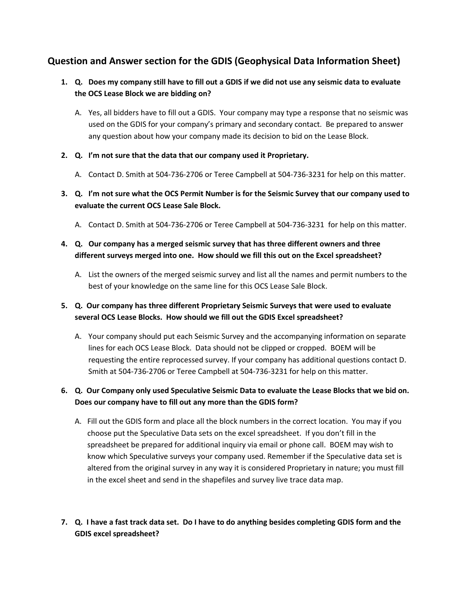## **Question and Answer section for the GDIS (Geophysical Data Information Sheet)**

- **1. Q. Does my company still have to fill out a GDIS if we did not use any seismic data to evaluate the OCS Lease Block we are bidding on?**
	- A. Yes, all bidders have to fill out a GDIS. Your company may type a response that no seismic was used on the GDIS for your company's primary and secondary contact. Be prepared to answer any question about how your company made its decision to bid on the Lease Block.
- **2. Q. I'm not sure that the data that our company used it Proprietary.**
	- A. Contact D. Smith at 504-736-2706 or Teree Campbell at 504-736-3231 for help on this matter.
- **3. Q. I'm not sure what the OCS Permit Number is for the Seismic Survey that our company used to evaluate the current OCS Lease Sale Block.**
	- A. Contact D. Smith at 504-736-2706 or Teree Campbell at 504-736-3231 for help on this matter.

## **4. Q. Our company has a merged seismic survey that has three different owners and three different surveys merged into one. How should we fill this out on the Excel spreadsheet?**

- A. List the owners of the merged seismic survey and list all the names and permit numbers to the best of your knowledge on the same line for this OCS Lease Sale Block.
- **5. Q. Our company has three different Proprietary Seismic Surveys that were used to evaluate several OCS Lease Blocks. How should we fill out the GDIS Excel spreadsheet?**
	- A. Your company should put each Seismic Survey and the accompanying information on separate lines for each OCS Lease Block. Data should not be clipped or cropped. BOEM will be requesting the entire reprocessed survey. If your company has additional questions contact D. Smith at 504-736-2706 or Teree Campbell at 504-736-3231 for help on this matter.
- **6. Q. Our Company only used Speculative Seismic Data to evaluate the Lease Blocks that we bid on. Does our company have to fill out any more than the GDIS form?**
	- A. Fill out the GDIS form and place all the block numbers in the correct location. You may if you choose put the Speculative Data sets on the excel spreadsheet. If you don't fill in the spreadsheet be prepared for additional inquiry via email or phone call. BOEM may wish to know which Speculative surveys your company used. Remember if the Speculative data set is altered from the original survey in any way it is considered Proprietary in nature; you must fill in the excel sheet and send in the shapefiles and survey live trace data map.
- **7. Q. I have a fast track data set. Do I have to do anything besides completing GDIS form and the GDIS excel spreadsheet?**